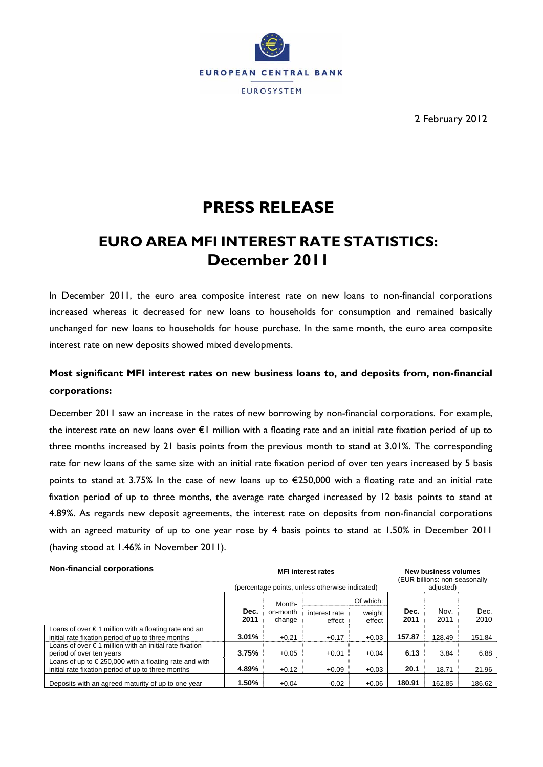

2 February 2012

# **PRESS RELEASE**

## **EURO AREA MFI INTEREST RATE STATISTICS: December 2011**

In December 2011, the euro area composite interest rate on new loans to non-financial corporations increased whereas it decreased for new loans to households for consumption and remained basically unchanged for new loans to households for house purchase. In the same month, the euro area composite interest rate on new deposits showed mixed developments.

### **Most significant MFI interest rates on new business loans to, and deposits from, non-financial corporations:**

December 2011 saw an increase in the rates of new borrowing by non-financial corporations. For example, the interest rate on new loans over €1 million with a floating rate and an initial rate fixation period of up to three months increased by 21 basis points from the previous month to stand at 3.01%. The corresponding rate for new loans of the same size with an initial rate fixation period of over ten years increased by 5 basis points to stand at 3.75% In the case of new loans up to €250,000 with a floating rate and an initial rate fixation period of up to three months, the average rate charged increased by 12 basis points to stand at 4.89%. As regards new deposit agreements, the interest rate on deposits from non-financial corporations with an agreed maturity of up to one year rose by 4 basis points to stand at 1.50% in December 2011 (having stood at 1.46% in November 2011).

#### Non-financial corporations **Non-financial corporations New business volumes** MFI interest rates **New business volumes** (percentage points, unless otherwise indicated) (EUR billions: non-seasonally adjusted) Of which: **Dec. 2011** Monthon-month change interest rate effect weight effect **Dec. 2011** Nov. 2011 Dec. 2010 Loans of over € 1 million with a floating rate and an initial rate fixation period of up to three months **3.01%** +0.21 +0.17 +0.03 **157.87** 128.49 151.84 Loans of over € 1 million with an initial rate fixation period of over ten years **3.75%** +0.05 +0.01 +0.04 **6.13** 3.84 6.88 Loans of up to  $\epsilon$  250,000 with a floating rate and with initial rate fixation period of up to three months **4.89%** +0.12 +0.09 +0.03 **20.1** 18.71 21.96 Deposits with an agreed maturity of up to one year **1.50%** +0.04 -0.02 +0.06 **180.91** 162.85 186.62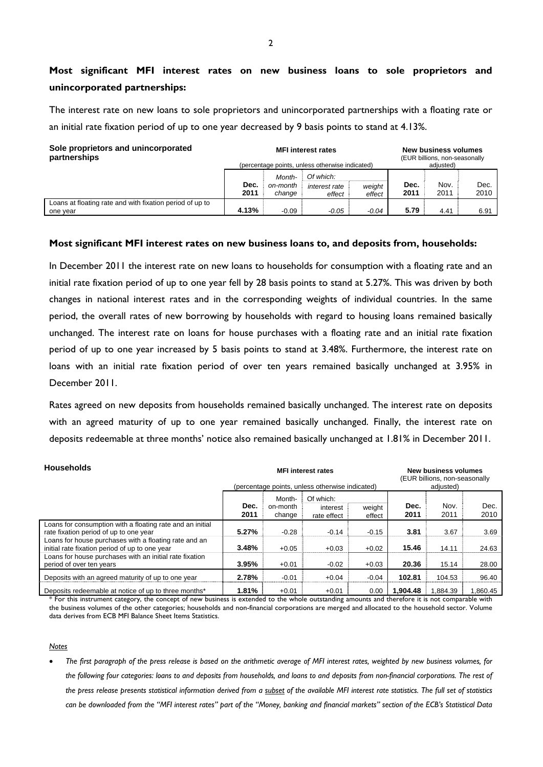### **Most significant MFI interest rates on new business loans to sole proprietors and unincorporated partnerships:**

The interest rate on new loans to sole proprietors and unincorporated partnerships with a floating rate or an initial rate fixation period of up to one year decreased by 9 basis points to stand at 4.13%.

| Sole proprietors and unincorporated<br>partnerships                  |              |                              | <b>MFI</b> interest rates<br>(percentage points, unless otherwise indicated) |                  | New business volumes<br>(EUR billions, non-seasonally<br>adjusted) |              |              |
|----------------------------------------------------------------------|--------------|------------------------------|------------------------------------------------------------------------------|------------------|--------------------------------------------------------------------|--------------|--------------|
|                                                                      | Dec.<br>2011 | Month-<br>on-month<br>change | Of which:<br>interest rate<br>effect                                         | weight<br>effect | Dec.<br>2011                                                       | Nov.<br>2011 | Dec.<br>2010 |
| Loans at floating rate and with fixation period of up to<br>one year | 4.13%        | $-0.09$                      | $-0.05$                                                                      | $-0.04$          | 5.79                                                               | 4.41         | 6.91         |

#### **Most significant MFI interest rates on new business loans to, and deposits from, households:**

In December 2011 the interest rate on new loans to households for consumption with a floating rate and an initial rate fixation period of up to one year fell by 28 basis points to stand at 5.27%. This was driven by both changes in national interest rates and in the corresponding weights of individual countries. In the same period, the overall rates of new borrowing by households with regard to housing loans remained basically unchanged. The interest rate on loans for house purchases with a floating rate and an initial rate fixation period of up to one year increased by 5 basis points to stand at 3.48%. Furthermore, the interest rate on loans with an initial rate fixation period of over ten years remained basically unchanged at 3.95% in December 2011.

Rates agreed on new deposits from households remained basically unchanged. The interest rate on deposits with an agreed maturity of up to one year remained basically unchanged. Finally, the interest rate on deposits redeemable at three months' notice also remained basically unchanged at 1.81% in December 2011.

| <b>Households</b>                                                                                       |              | <b>MFI</b> interest rates<br>(percentage points, unless otherwise indicated) |                                      | <b>New business volumes</b><br>(EUR billions, non-seasonally<br>adjusted) |              |              |              |  |  |
|---------------------------------------------------------------------------------------------------------|--------------|------------------------------------------------------------------------------|--------------------------------------|---------------------------------------------------------------------------|--------------|--------------|--------------|--|--|
|                                                                                                         | Dec.<br>2011 | Month-<br>on-month<br>change                                                 | Of which:<br>interest<br>rate effect | weight<br>effect                                                          | Dec.<br>2011 | Nov.<br>2011 | Dec.<br>2010 |  |  |
| Loans for consumption with a floating rate and an initial<br>rate fixation period of up to one year     | 5.27%        | $-0.28$                                                                      | $-0.14$                              | $-0.15$                                                                   | 3.81         | 3.67         | 3.69         |  |  |
| Loans for house purchases with a floating rate and an<br>initial rate fixation period of up to one year | 3.48%        | $+0.05$                                                                      | $+0.03$                              | $+0.02$                                                                   | 15.46        | 14.11        | 24.63        |  |  |
| Loans for house purchases with an initial rate fixation<br>period of over ten years                     | 3.95%        | $+0.01$                                                                      | $-0.02$                              | $+0.03$                                                                   | 20.36        | 15.14        | 28.00        |  |  |
| Deposits with an agreed maturity of up to one year                                                      | 2.78%        | $-0.01$                                                                      | $+0.04$                              | $-0.04$                                                                   | 102.81       | 104.53       | 96.40        |  |  |
| Deposits redeemable at notice of up to three months*                                                    | 1.81%        | $+0.01$                                                                      | $+0.01$                              | 0.00                                                                      | 1.904.48     | 1.884.39     | 1.860.45     |  |  |

\* For this instrument category, the concept of new business is extended to the whole outstanding amounts and therefore it is not comparable with the business volumes of the other categories; households and non-financial corporations are merged and allocated to the household sector. Volume data derives from ECB MFI Balance Sheet Items Statistics.

#### *Notes*

 *The first paragraph of the press release is based on the arithmetic average of MFI interest rates, weighted by new business volumes, for the following four categories: loans to and deposits from households, and loans to and deposits from non-financial corporations. The rest of the press release presents statistical information derived from a subset of the available MFI interest rate statistics. The full set of statistics can be downloaded from the "MFI interest rates" part of the "Money, banking and financial markets" section of the ECB's Statistical Data*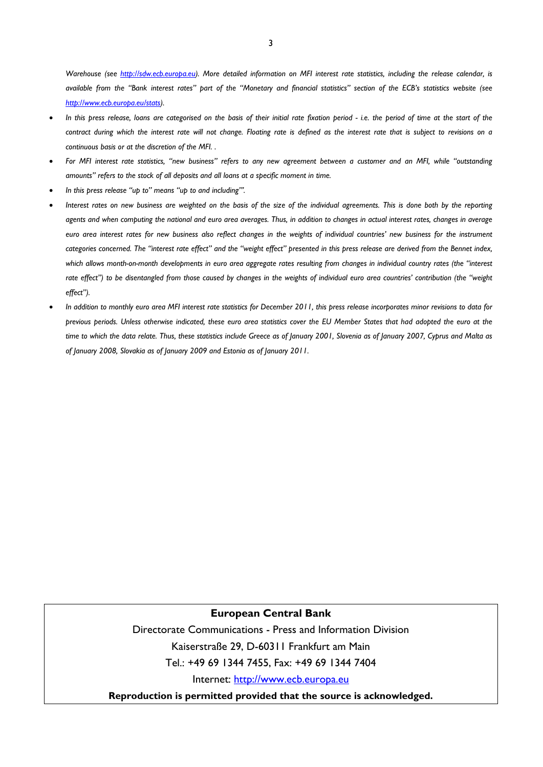*Warehouse (see http://sdw.ecb.europa.eu). More detailed information on MFI interest rate statistics, including the release calendar, is available from the "Bank interest rates" part of the "Monetary and financial statistics" section of the ECB's statistics website (see http://www.ecb.europa.eu/stats).* 

- In this press release, loans are categorised on the basis of their initial rate fixation period i.e. the period of time at the start of the *contract during which the interest rate will not change. Floating rate is defined as the interest rate that is subject to revisions on a continuous basis or at the discretion of the MFI. .*
- *For MFI interest rate statistics, "new business" refers to any new agreement between a customer and an MFI, while "outstanding amounts" refers to the stock of all deposits and all loans at a specific moment in time.*
- *In this press release "up to" means "up to and including"'.*
- *Interest rates on new business are weighted on the basis of the size of the individual agreements. This is done both by the reporting agents and when computing the national and euro area averages. Thus, in addition to changes in actual interest rates, changes in average euro area interest rates for new business also reflect changes in the weights of individual countries' new business for the instrument categories concerned. The "interest rate effect" and the "weight effect" presented in this press release are derived from the Bennet index, which allows month-on-month developments in euro area aggregate rates resulting from changes in individual country rates (the "interest rate effect") to be disentangled from those caused by changes in the weights of individual euro area countries' contribution (the "weight effect").*
- *In addition to monthly euro area MFI interest rate statistics for December 2011, this press release incorporates minor revisions to data for previous periods. Unless otherwise indicated, these euro area statistics cover the EU Member States that had adopted the euro at the time to which the data relate. Thus, these statistics include Greece as of January 2001, Slovenia as of January 2007, Cyprus and Malta as of January 2008, Slovakia as of January 2009 and Estonia as of January 2011.*

### **European Central Bank**

Directorate Communications - Press and Information Division Kaiserstraße 29, D-60311 Frankfurt am Main Tel.: +49 69 1344 7455, Fax: +49 69 1344 7404

Internet: http://www.ecb.europa.eu

**Reproduction is permitted provided that the source is acknowledged.**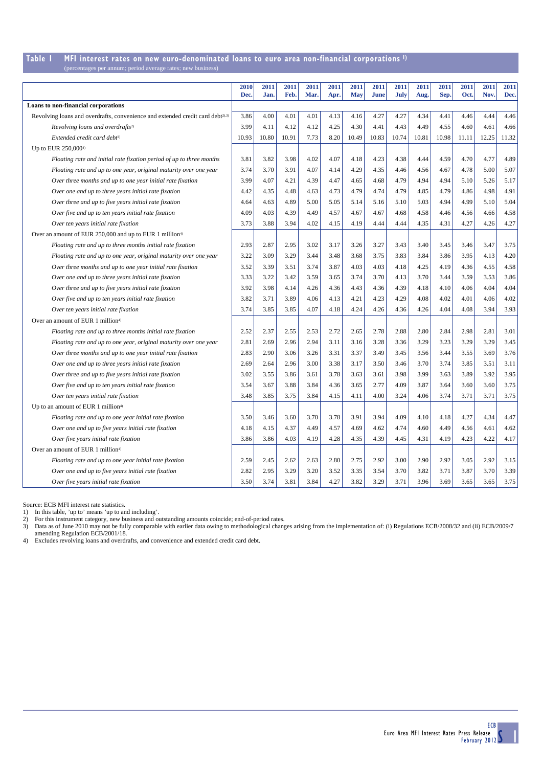#### **Table 1 MFI interest rates on new euro-denominated loans to euro area non-financial corporations 1)** es per annum; period average rates; new busi

|                                                                                            | 2010  | 2011  | 2011  | 2011 | 2011 | 2011       | 2011  | 2011  | 2011  | 2011  | 2011  | 2011  | 2011  |
|--------------------------------------------------------------------------------------------|-------|-------|-------|------|------|------------|-------|-------|-------|-------|-------|-------|-------|
|                                                                                            | Dec.  | Jan.  | Feb.  | Mar. | Apr. | <b>May</b> | June  | July  | Aug.  | Sep.  | Oct.  | Nov.  | Dec.  |
| Loans to non-financial corporations                                                        |       |       |       |      |      |            |       |       |       |       |       |       |       |
| Revolving loans and overdrafts, convenience and extended credit card debt <sup>2),3)</sup> | 3.86  | 4.00  | 4.01  | 4.01 | 4.13 | 4.16       | 4.27  | 4.27  | 4.34  | 4.41  | 4.46  | 4.44  | 4.46  |
| Revolving loans and overdrafts <sup>2)</sup>                                               | 3.99  | 4.11  | 4.12  | 4.12 | 4.25 | 4.30       | 4.41  | 4.43  | 4.49  | 4.55  | 4.60  | 4.61  | 4.66  |
| Extended credit card debt <sup>2)</sup>                                                    | 10.93 | 10.80 | 10.91 | 7.73 | 8.20 | 10.49      | 10.83 | 10.74 | 10.81 | 10.98 | 11.11 | 12.25 | 11.32 |
| Up to EUR 250,000 <sup>4)</sup>                                                            |       |       |       |      |      |            |       |       |       |       |       |       |       |
| Floating rate and initial rate fixation period of up to three months                       | 3.81  | 3.82  | 3.98  | 4.02 | 4.07 | 4.18       | 4.23  | 4.38  | 4.44  | 4.59  | 4.70  | 4.77  | 4.89  |
| Floating rate and up to one year, original maturity over one year                          | 3.74  | 3.70  | 3.91  | 4.07 | 4.14 | 4.29       | 4.35  | 4.46  | 4.56  | 4.67  | 4.78  | 5.00  | 5.07  |
| Over three months and up to one year initial rate fixation                                 | 3.99  | 4.07  | 4.21  | 4.39 | 4.47 | 4.65       | 4.68  | 4.79  | 4.94  | 4.94  | 5.10  | 5.26  | 5.17  |
| Over one and up to three years initial rate fixation                                       | 4.42  | 4.35  | 4.48  | 4.63 | 4.73 | 4.79       | 4.74  | 4.79  | 4.85  | 4.79  | 4.86  | 4.98  | 4.91  |
| Over three and up to five years initial rate fixation                                      | 4.64  | 4.63  | 4.89  | 5.00 | 5.05 | 5.14       | 5.16  | 5.10  | 5.03  | 4.94  | 4.99  | 5.10  | 5.04  |
| Over five and up to ten years initial rate fixation                                        | 4.09  | 4.03  | 4.39  | 4.49 | 4.57 | 4.67       | 4.67  | 4.68  | 4.58  | 4.46  | 4.56  | 4.66  | 4.58  |
| Over ten years initial rate fixation                                                       | 3.73  | 3.88  | 3.94  | 4.02 | 4.15 | 4.19       | 4.44  | 4.44  | 4.35  | 4.31  | 4.27  | 4.26  | 4.27  |
| Over an amount of EUR 250,000 and up to EUR 1 million <sup>4)</sup>                        |       |       |       |      |      |            |       |       |       |       |       |       |       |
| Floating rate and up to three months initial rate fixation                                 | 2.93  | 2.87  | 2.95  | 3.02 | 3.17 | 3.26       | 3.27  | 3.43  | 3.40  | 3.45  | 3.46  | 3.47  | 3.75  |
| Floating rate and up to one year, original maturity over one year                          | 3.22  | 3.09  | 3.29  | 3.44 | 3.48 | 3.68       | 3.75  | 3.83  | 3.84  | 3.86  | 3.95  | 4.13  | 4.20  |
| Over three months and up to one year initial rate fixation                                 | 3.52  | 3.39  | 3.51  | 3.74 | 3.87 | 4.03       | 4.03  | 4.18  | 4.25  | 4.19  | 4.36  | 4.55  | 4.58  |
| Over one and up to three years initial rate fixation                                       | 3.33  | 3.22  | 3.42  | 3.59 | 3.65 | 3.74       | 3.70  | 4.13  | 3.70  | 3.44  | 3.59  | 3.53  | 3.86  |
| Over three and up to five years initial rate fixation                                      | 3.92  | 3.98  | 4.14  | 4.26 | 4.36 | 4.43       | 4.36  | 4.39  | 4.18  | 4.10  | 4.06  | 4.04  | 4.04  |
| Over five and up to ten years initial rate fixation                                        | 3.82  | 3.71  | 3.89  | 4.06 | 4.13 | 4.21       | 4.23  | 4.29  | 4.08  | 4.02  | 4.01  | 4.06  | 4.02  |
| Over ten years initial rate fixation                                                       | 3.74  | 3.85  | 3.85  | 4.07 | 4.18 | 4.24       | 4.26  | 4.36  | 4.26  | 4.04  | 4.08  | 3.94  | 3.93  |
| Over an amount of EUR 1 million <sup>4)</sup>                                              |       |       |       |      |      |            |       |       |       |       |       |       |       |
| Floating rate and up to three months initial rate fixation                                 | 2.52  | 2.37  | 2.55  | 2.53 | 2.72 | 2.65       | 2.78  | 2.88  | 2.80  | 2.84  | 2.98  | 2.81  | 3.01  |
| Floating rate and up to one year, original maturity over one year                          | 2.81  | 2.69  | 2.96  | 2.94 | 3.11 | 3.16       | 3.28  | 3.36  | 3.29  | 3.23  | 3.29  | 3.29  | 3.45  |
| Over three months and up to one year initial rate fixation                                 | 2.83  | 2.90  | 3.06  | 3.26 | 3.31 | 3.37       | 3.49  | 3.45  | 3.56  | 3.44  | 3.55  | 3.69  | 3.76  |
| Over one and up to three years initial rate fixation                                       | 2.69  | 2.64  | 2.96  | 3.00 | 3.38 | 3.17       | 3.50  | 3.46  | 3.70  | 3.74  | 3.85  | 3.51  | 3.11  |
| Over three and up to five years initial rate fixation                                      | 3.02  | 3.55  | 3.86  | 3.61 | 3.78 | 3.63       | 3.61  | 3.98  | 3.99  | 3.63  | 3.89  | 3.92  | 3.95  |
| Over five and up to ten years initial rate fixation                                        | 3.54  | 3.67  | 3.88  | 3.84 | 4.36 | 3.65       | 2.77  | 4.09  | 3.87  | 3.64  | 3.60  | 3.60  | 3.75  |
| Over ten years initial rate fixation                                                       | 3.48  | 3.85  | 3.75  | 3.84 | 4.15 | 4.11       | 4.00  | 3.24  | 4.06  | 3.74  | 3.71  | 3.71  | 3.75  |
| Up to an amount of EUR 1 million <sup>4)</sup>                                             |       |       |       |      |      |            |       |       |       |       |       |       |       |
| Floating rate and up to one year initial rate fixation                                     | 3.50  | 3.46  | 3.60  | 3.70 | 3.78 | 3.91       | 3.94  | 4.09  | 4.10  | 4.18  | 4.27  | 4.34  | 4.47  |
| Over one and up to five years initial rate fixation                                        | 4.18  | 4.15  | 4.37  | 4.49 | 4.57 | 4.69       | 4.62  | 4.74  | 4.60  | 4.49  | 4.56  | 4.61  | 4.62  |
| Over five years initial rate fixation                                                      | 3.86  | 3.86  | 4.03  | 4.19 | 4.28 | 4.35       | 4.39  | 4.45  | 4.31  | 4.19  | 4.23  | 4.22  | 4.17  |
| Over an amount of EUR 1 million <sup>4)</sup>                                              |       |       |       |      |      |            |       |       |       |       |       |       |       |
| Floating rate and up to one year initial rate fixation                                     | 2.59  | 2.45  | 2.62  | 2.63 | 2.80 | 2.75       | 2.92  | 3.00  | 2.90  | 2.92  | 3.05  | 2.92  | 3.15  |
| Over one and up to five years initial rate fixation                                        | 2.82  | 2.95  | 3.29  | 3.20 | 3.52 | 3.35       | 3.54  | 3.70  | 3.82  | 3.71  | 3.87  | 3.70  | 3.39  |
| Over five years initial rate fixation                                                      | 3.50  | 3.74  | 3.81  | 3.84 | 4.27 | 3.82       | 3.29  | 3.71  | 3.96  | 3.69  | 3.65  | 3.65  | 3.75  |

Source: ECB MFI interest rate statistics. 1) In this table, 'up to' means 'up to and including'. 2) For this instrument category, new business and outstanding amounts coincide; end-of-period rates.

3) Data as of June 2010 may not be fully comparable with earlier data owing to methodological changes arising from the implementation of: (i) Regulations ECB/2008/32 and (ii) ECB/2009/7 amending Regulation ECB/2001/18.

4) Excludes revolving loans and overdrafts, and convenience and extended credit card debt.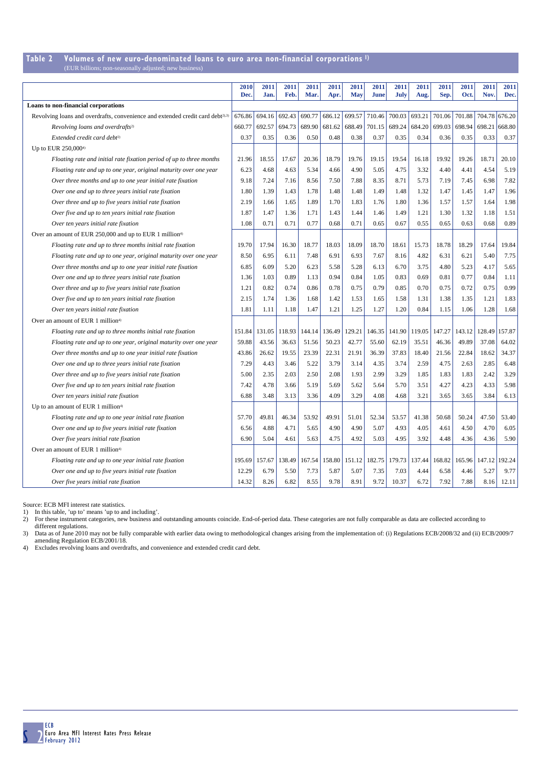## **Table 2 Volumes of new euro-denominated loans to euro area non-financial corporations 1)**

| (EUR billions; non-seasonally adjusted; new business) |  |  |
|-------------------------------------------------------|--|--|
|-------------------------------------------------------|--|--|

|                                                                                            | 2010<br>Dec. | 2011<br>Jan. | 2011<br>Feb. | 2011<br>Mar. | 2011<br>Apr. | 2011<br><b>May</b> | 2011<br>June | 2011<br>July | 2011<br>Aug. | 2011<br>Sep. | 2011<br>Oct. | 2011<br>Nov.  | 2011<br>Dec. |
|--------------------------------------------------------------------------------------------|--------------|--------------|--------------|--------------|--------------|--------------------|--------------|--------------|--------------|--------------|--------------|---------------|--------------|
| Loans to non-financial corporations                                                        |              |              |              |              |              |                    |              |              |              |              |              |               |              |
| Revolving loans and overdrafts, convenience and extended credit card debt <sup>2),3)</sup> | 676.86       | 694.16       | 692.43       | 690.77       | 686.12       | 699.57             | 710.46       | 700.03       | 693.21       | 701.06       | 701.88       | 704.78 676.20 |              |
| Revolving loans and overdrafts <sup>2)</sup>                                               | 660.77       | 692.57       | 694.73       | 689.90       | 681.62       | 688.49             | 701.15       | 689.24       | 684.20       | 699.03       | 698.94       | 698.21        | 668.80       |
| Extended credit card debt <sup>2)</sup>                                                    | 0.37         | 0.35         | 0.36         | 0.50         | 0.48         | 0.38               | 0.37         | 0.35         | 0.34         | 0.36         | 0.35         | 0.33          | 0.37         |
| Up to EUR 250,0004)                                                                        |              |              |              |              |              |                    |              |              |              |              |              |               |              |
| Floating rate and initial rate fixation period of up to three months                       | 21.96        | 18.55        | 17.67        | 20.36        | 18.79        | 19.76              | 19.15        | 19.54        | 16.18        | 19.92        | 19.26        | 18.71         | 20.10        |
| Floating rate and up to one year, original maturity over one year                          | 6.23         | 4.68         | 4.63         | 5.34         | 4.66         | 4.90               | 5.05         | 4.75         | 3.32         | 4.40         | 4.41         | 4.54          | 5.19         |
| Over three months and up to one year initial rate fixation                                 | 9.18         | 7.24         | 7.16         | 8.56         | 7.50         | 7.88               | 8.35         | 8.71         | 5.73         | 7.19         | 7.45         | 6.98          | 7.82         |
| Over one and up to three years initial rate fixation                                       | 1.80         | 1.39         | 1.43         | 1.78         | 1.48         | 1.48               | 1.49         | 1.48         | 1.32         | 1.47         | 1.45         | 1.47          | 1.96         |
| Over three and up to five years initial rate fixation                                      | 2.19         | 1.66         | 1.65         | 1.89         | 1.70         | 1.83               | 1.76         | 1.80         | 1.36         | 1.57         | 1.57         | 1.64          | 1.98         |
| Over five and up to ten years initial rate fixation                                        | 1.87         | 1.47         | 1.36         | 1.71         | 1.43         | 1.44               | 1.46         | 1.49         | 1.21         | 1.30         | 1.32         | 1.18          | 1.51         |
| Over ten years initial rate fixation                                                       | 1.08         | 0.71         | 0.71         | 0.77         | 0.68         | 0.71               | 0.65         | 0.67         | 0.55         | 0.65         | 0.63         | 0.68          | 0.89         |
| Over an amount of EUR 250,000 and up to EUR 1 million <sup>4)</sup>                        |              |              |              |              |              |                    |              |              |              |              |              |               |              |
| Floating rate and up to three months initial rate fixation                                 | 19.70        | 17.94        | 16.30        | 18.77        | 18.03        | 18.09              | 18.70        | 18.61        | 15.73        | 18.78        | 18.29        | 17.64         | 19.84        |
| Floating rate and up to one year, original maturity over one year                          | 8.50         | 6.95         | 6.11         | 7.48         | 6.91         | 6.93               | 7.67         | 8.16         | 4.82         | 6.31         | 6.21         | 5.40          | 7.75         |
| Over three months and up to one year initial rate fixation                                 | 6.85         | 6.09         | 5.20         | 6.23         | 5.58         | 5.28               | 6.13         | 6.70         | 3.75         | 4.80         | 5.23         | 4.17          | 5.65         |
| Over one and up to three years initial rate fixation                                       | 1.36         | 1.03         | 0.89         | 1.13         | 0.94         | 0.84               | 1.05         | 0.83         | 0.69         | 0.81         | 0.77         | 0.84          | 1.11         |
| Over three and up to five years initial rate fixation                                      | 1.21         | 0.82         | 0.74         | 0.86         | 0.78         | 0.75               | 0.79         | 0.85         | 0.70         | 0.75         | 0.72         | 0.75          | 0.99         |
| Over five and up to ten years initial rate fixation                                        | 2.15         | 1.74         | 1.36         | 1.68         | 1.42         | 1.53               | 1.65         | 1.58         | 1.31         | 1.38         | 1.35         | 1.21          | 1.83         |
| Over ten years initial rate fixation                                                       | 1.81         | 1.11         | 1.18         | 1.47         | 1.21         | 1.25               | 1.27         | 1.20         | 0.84         | 1.15         | 1.06         | 1.28          | 1.68         |
| Over an amount of EUR 1 million <sup>4)</sup>                                              |              |              |              |              |              |                    |              |              |              |              |              |               |              |
| Floating rate and up to three months initial rate fixation                                 | 151.84       | 131.05       | 118.93       | 144.14       | 136.49       | 129.21             | 146.35       | 141.90       | 119.05       | 147.27       | 143.12       | 128.49        | 157.87       |
| Floating rate and up to one year, original maturity over one year                          | 59.88        | 43.56        | 36.63        | 51.56        | 50.23        | 42.77              | 55.60        | 62.19        | 35.51        | 46.36        | 49.89        | 37.08         | 64.02        |
| Over three months and up to one year initial rate fixation                                 | 43.86        | 26.62        | 19.55        | 23.39        | 22.31        | 21.91              | 36.39        | 37.83        | 18.40        | 21.56        | 22.84        | 18.62         | 34.37        |
| Over one and up to three years initial rate fixation                                       | 7.29         | 4.43         | 3.46         | 5.22         | 3.79         | 3.14               | 4.35         | 3.74         | 2.59         | 4.75         | 2.63         | 2.85          | 6.48         |
| Over three and up to five years initial rate fixation                                      | 5.00         | 2.35         | 2.03         | 2.50         | 2.08         | 1.93               | 2.99         | 3.29         | 1.85         | 1.83         | 1.83         | 2.42          | 3.29         |
| Over five and up to ten years initial rate fixation                                        | 7.42         | 4.78         | 3.66         | 5.19         | 5.69         | 5.62               | 5.64         | 5.70         | 3.51         | 4.27         | 4.23         | 4.33          | 5.98         |
| Over ten years initial rate fixation                                                       | 6.88         | 3.48         | 3.13         | 3.36         | 4.09         | 3.29               | 4.08         | 4.68         | 3.21         | 3.65         | 3.65         | 3.84          | 6.13         |
| Up to an amount of EUR 1 million <sup>4)</sup>                                             |              |              |              |              |              |                    |              |              |              |              |              |               |              |
| Floating rate and up to one year initial rate fixation                                     | 57.70        | 49.81        | 46.34        | 53.92        | 49.91        | 51.01              | 52.34        | 53.57        | 41.38        | 50.68        | 50.24        | 47.50         | 53.40        |
| Over one and up to five years initial rate fixation                                        | 6.56         | 4.88         | 4.71         | 5.65         | 4.90         | 4.90               | 5.07         | 4.93         | 4.05         | 4.61         | 4.50         | 4.70          | 6.05         |
| Over five years initial rate fixation                                                      | 6.90         | 5.04         | 4.61         | 5.63         | 4.75         | 4.92               | 5.03         | 4.95         | 3.92         | 4.48         | 4.36         | 4.36          | 5.90         |
| Over an amount of EUR 1 million <sup>4)</sup>                                              |              |              |              |              |              |                    |              |              |              |              |              |               |              |
| Floating rate and up to one year initial rate fixation                                     | 195.69       | 157.67       | 138.49       | 167.54       | 158.80       | 151.12             | 182.75       | 179.73       | 137.44       | 168.82       | 165.96       | 147.12        | 192.24       |
| Over one and up to five years initial rate fixation                                        | 12.29        | 6.79         | 5.50         | 7.73         | 5.87         | 5.07               | 7.35         | 7.03         | 4.44         | 6.58         | 4.46         | 5.27          | 9.77         |
| Over five years initial rate fixation                                                      | 14.32        | 8.26         | 6.82         | 8.55         | 9.78         | 8.91               | 9.72         | 10.37        | 6.72         | 7.92         | 7.88         | 8.16          | 12.11        |

Source: ECB MFI interest rate statistics.

1) In this table, 'up to' means 'up to and including'.<br>2) For these instrument categories, new business and outstanding amounts coincide. End-of-period data. These categories are not fully comparable as data are collected

different regulations. 3) Data as of June 2010 may not be fully comparable with earlier data owing to methodological changes arising from the implementation of: (i) Regulations ECB/2008/32 and (ii) ECB/2009/7 amending Regulation ECB/2001/18.<br>4)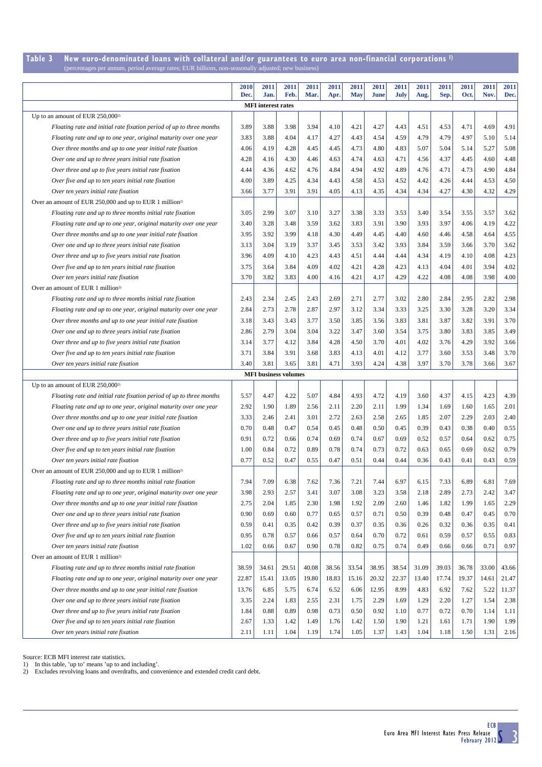#### **Table 3 New euro-denominated loans with collateral and/or guarantees to euro area non-financial corporations 1)** (percentages per annum, period average rates; EUR billions, non-seasonally adjusted; new business)

|                                                                      | 2010  | 2011                        | 2011  | 2011  | 2011  | 2011       | 2011  | 2011  | 2011  | 2011  | 2011  | 2011  | 2011  |
|----------------------------------------------------------------------|-------|-----------------------------|-------|-------|-------|------------|-------|-------|-------|-------|-------|-------|-------|
|                                                                      | Dec.  | Jan.                        | Feb.  | Mar.  | Apr.  | <b>May</b> | June  | July  | Aug.  | Sep.  | Oct.  | Nov.  | Dec.  |
|                                                                      |       | <b>MFI</b> interest rates   |       |       |       |            |       |       |       |       |       |       |       |
| Up to an amount of EUR 250,000 <sup>2)</sup>                         |       |                             |       |       |       |            |       |       |       |       |       |       |       |
| Floating rate and initial rate fixation period of up to three months | 3.89  | 3.88                        | 3.98  | 3.94  | 4.10  | 4.21       | 4.27  | 4.43  | 4.51  | 4.53  | 4.71  | 4.69  | 4.91  |
| Floating rate and up to one year, original maturity over one year    | 3.83  | 3.88                        | 4.04  | 4.17  | 4.27  | 4.43       | 4.54  | 4.59  | 4.79  | 4.79  | 4.97  | 5.10  | 5.14  |
| Over three months and up to one year initial rate fixation           | 4.06  | 4.19                        | 4.28  | 4.45  | 4.45  | 4.73       | 4.80  | 4.83  | 5.07  | 5.04  | 5.14  | 5.27  | 5.08  |
| Over one and up to three years initial rate fixation                 | 4.28  | 4.16                        | 4.30  | 4.46  | 4.63  | 4.74       | 4.63  | 4.71  | 4.56  | 4.37  | 4.45  | 4.60  | 4.48  |
| Over three and up to five years initial rate fixation                | 4.44  | 4.36                        | 4.62  | 4.76  | 4.84  | 4.94       | 4.92  | 4.89  | 4.76  | 4.71  | 4.73  | 4.90  | 4.84  |
| Over five and up to ten years initial rate fixation                  | 4.00  | 3.89                        | 4.25  | 4.34  | 4.43  | 4.58       | 4.53  | 4.52  | 4.42  | 4.26  | 4.44  | 4.53  | 4.50  |
| Over ten years initial rate fixation                                 | 3.66  | 3.77                        | 3.91  | 3.91  | 4.05  | 4.13       | 4.35  | 4.34  | 4.34  | 4.27  | 4.30  | 4.32  | 4.29  |
| Over an amount of EUR 250,000 and up to EUR 1 million <sup>2)</sup>  |       |                             |       |       |       |            |       |       |       |       |       |       |       |
| Floating rate and up to three months initial rate fixation           | 3.05  | 2.99                        | 3.07  | 3.10  | 3.27  | 3.38       | 3.33  | 3.53  | 3.40  | 3.54  | 3.55  | 3.57  | 3.62  |
| Floating rate and up to one year, original maturity over one year    | 3.40  | 3.28                        | 3.48  | 3.59  | 3.62  | 3.83       | 3.91  | 3.90  | 3.93  | 3.97  | 4.06  | 4.19  | 4.22  |
| Over three months and up to one year initial rate fixation           | 3.95  | 3.92                        | 3.99  | 4.18  | 4.30  | 4.49       | 4.45  | 4.40  | 4.60  | 4.46  | 4.58  | 4.64  | 4.55  |
| Over one and up to three years initial rate fixation                 | 3.13  | 3.04                        | 3.19  | 3.37  | 3.45  | 3.53       | 3.42  | 3.93  | 3.84  | 3.59  | 3.66  | 3.70  | 3.62  |
| Over three and up to five years initial rate fixation                | 3.96  | 4.09                        | 4.10  | 4.23  | 4.43  | 4.51       | 4.44  | 4.44  | 4.34  | 4.19  | 4.10  | 4.08  | 4.23  |
| Over five and up to ten years initial rate fixation                  | 3.75  | 3.64                        | 3.84  | 4.09  | 4.02  | 4.21       | 4.28  | 4.23  | 4.13  | 4.04  | 4.01  | 3.94  | 4.02  |
| Over ten years initial rate fixation                                 | 3.70  | 3.82                        | 3.83  | 4.00  | 4.16  | 4.21       | 4.17  | 4.29  | 4.22  | 4.08  | 4.08  | 3.98  | 4.00  |
| Over an amount of EUR 1 million <sup>2)</sup>                        |       |                             |       |       |       |            |       |       |       |       |       |       |       |
| Floating rate and up to three months initial rate fixation           | 2.43  | 2.34                        | 2.45  | 2.43  | 2.69  | 2.71       | 2.77  | 3.02  | 2.80  | 2.84  | 2.95  | 2.82  | 2.98  |
| Floating rate and up to one year, original maturity over one year    | 2.84  | 2.73                        | 2.78  | 2.87  | 2.97  | 3.12       | 3.34  | 3.33  | 3.25  | 3.30  | 3.28  | 3.20  | 3.34  |
| Over three months and up to one year initial rate fixation           | 3.18  | 3.43                        | 3.43  | 3.77  | 3.50  | 3.85       | 3.56  | 3.83  | 3.81  | 3.87  | 3.82  | 3.91  | 3.70  |
| Over one and up to three years initial rate fixation                 | 2.86  | 2.79                        | 3.04  | 3.04  | 3.22  | 3.47       | 3.60  | 3.54  | 3.75  | 3.80  | 3.83  | 3.85  | 3.49  |
| Over three and up to five years initial rate fixation                | 3.14  | 3.77                        | 4.12  | 3.84  | 4.28  | 4.50       | 3.70  | 4.01  | 4.02  | 3.76  | 4.29  | 3.92  | 3.66  |
| Over five and up to ten years initial rate fixation                  | 3.71  | 3.84                        | 3.91  | 3.68  | 3.83  | 4.13       | 4.01  | 4.12  | 3.77  | 3.60  | 3.53  | 3.48  | 3.70  |
| Over ten years initial rate fixation                                 | 3.40  | 3.81                        | 3.65  | 3.81  | 4.71  | 3.93       | 4.24  | 4.38  | 3.97  | 3.70  | 3.78  | 3.66  | 3.67  |
|                                                                      |       | <b>MFI</b> business volumes |       |       |       |            |       |       |       |       |       |       |       |
| Up to an amount of EUR 250,000 <sup>2)</sup>                         |       |                             |       |       |       |            |       |       |       |       |       |       |       |
| Floating rate and initial rate fixation period of up to three months | 5.57  | 4.47                        | 4.22  | 5.07  | 4.84  | 4.93       | 4.72  | 4.19  | 3.60  | 4.37  | 4.15  | 4.23  | 4.39  |
| Floating rate and up to one year, original maturity over one year    | 2.92  | 1.90                        | 1.89  | 2.56  | 2.11  | 2.20       | 2.11  | 1.99  | 1.34  | 1.69  | 1.60  | 1.65  | 2.01  |
| Over three months and up to one year initial rate fixation           | 3.33  | 2.46                        | 2.41  | 3.01  | 2.72  | 2.63       | 2.58  | 2.65  | 1.85  | 2.07  | 2.29  | 2.03  | 2.40  |
| Over one and up to three years initial rate fixation                 | 0.70  | 0.48                        | 0.47  | 0.54  | 0.45  | 0.48       | 0.50  | 0.45  | 0.39  | 0.43  | 0.38  | 0.40  | 0.55  |
| Over three and up to five years initial rate fixation                | 0.91  | 0.72                        | 0.66  | 0.74  | 0.69  | 0.74       | 0.67  | 0.69  | 0.52  | 0.57  | 0.64  | 0.62  | 0.75  |
| Over five and up to ten years initial rate fixation                  | 1.00  | 0.84                        | 0.72  | 0.89  | 0.78  | 0.74       | 0.73  | 0.72  | 0.63  | 0.65  | 0.69  | 0.62  | 0.79  |
| Over ten years initial rate fixation                                 | 0.77  | 0.52                        | 0.47  | 0.55  | 0.47  | 0.51       | 0.44  | 0.44  | 0.36  | 0.43  | 0.41  | 0.43  | 0.59  |
| Over an amount of EUR 250,000 and up to EUR 1 million <sup>2)</sup>  |       |                             |       |       |       |            |       |       |       |       |       |       |       |
| Floating rate and up to three months initial rate fixation           | 7.94  | 7.09                        | 6.38  | 7.62  | 7.36  | 7.21       | 7.44  | 6.97  | 6.15  | 7.33  | 6.89  | 6.81  | 7.69  |
| Floating rate and up to one year, original maturity over one year    | 3.98  | 2.93                        | 2.57  | 3.41  | 3.07  | 3.08       | 3.23  | 3.58  | 2.18  | 2.89  | 2.73  | 2.42  | 3.47  |
| Over three months and up to one year initial rate fixation           | 2.75  | 2.04                        | 1.85  | 2.30  | 1.98  | 1.92       | 2.09  | 2.60  | 1.46  | 1.82  | 1.99  | 1.65  | 2.29  |
| Over one and up to three years initial rate fixation                 | 0.90  | 0.69                        | 0.60  | 0.77  | 0.65  | 0.57       | 0.71  | 0.50  | 0.39  | 0.48  | 0.47  | 0.45  | 0.70  |
| Over three and up to five years initial rate fixation                | 0.59  | 0.41                        | 0.35  | 0.42  | 0.39  | 0.37       | 0.35  | 0.36  | 0.26  | 0.32  | 0.36  | 0.35  | 0.41  |
| Over five and up to ten years initial rate fixation                  | 0.95  | 0.78                        | 0.57  | 0.66  | 0.57  | 0.64       | 0.70  | 0.72  | 0.61  | 0.59  | 0.57  | 0.55  | 0.83  |
| Over ten years initial rate fixation                                 | 1.02  | 0.66                        | 0.67  | 0.90  | 0.78  | 0.82       | 0.75  | 0.74  | 0.49  | 0.66  | 0.66  | 0.71  | 0.97  |
| Over an amount of EUR 1 million <sup>2)</sup>                        |       |                             |       |       |       |            |       |       |       |       |       |       |       |
| Floating rate and up to three months initial rate fixation           | 38.59 | 34.61                       | 29.51 | 40.08 | 38.56 | 33.54      | 38.95 | 38.54 | 31.09 | 39.03 | 36.78 | 33.00 | 43.66 |
| Floating rate and up to one year, original maturity over one year    | 22.87 | 15.41                       | 13.05 | 19.80 | 18.83 | 15.16      | 20.32 | 22.37 | 13.40 | 17.74 | 19.37 | 14.61 | 21.47 |
| Over three months and up to one year initial rate fixation           | 13.76 | 6.85                        | 5.75  | 6.74  | 6.52  | 6.06       | 12.95 | 8.99  | 4.83  | 6.92  | 7.62  | 5.22  | 11.37 |
| Over one and up to three years initial rate fixation                 | 3.35  | 2.24                        | 1.83  | 2.55  | 2.31  | 1.75       | 2.29  | 1.69  | 1.29  | 2.20  | 1.27  | 1.54  | 2.38  |
| Over three and up to five years initial rate fixation                | 1.84  | 0.88                        | 0.89  | 0.98  | 0.73  | 0.50       | 0.92  | 1.10  | 0.77  | 0.72  | 0.70  | 1.14  | 1.11  |
| Over five and up to ten years initial rate fixation                  | 2.67  | 1.33                        | 1.42  | 1.49  | 1.76  | 1.42       | 1.50  | 1.90  | 1.21  | 1.61  | 1.71  | 1.90  | 1.99  |
| Over ten years initial rate fixation                                 | 2.11  | 1.11                        | 1.04  | 1.19  | 1.74  | 1.05       | 1.37  | 1.43  | 1.04  | 1.18  | 1.50  | 1.31  | 2.16  |

Source: ECB MFI interest rate statistics. 1) In this table, 'up to' means 'up to and including'. 2) Excludes revolving loans and overdrafts, and convenience and extended credit card debt.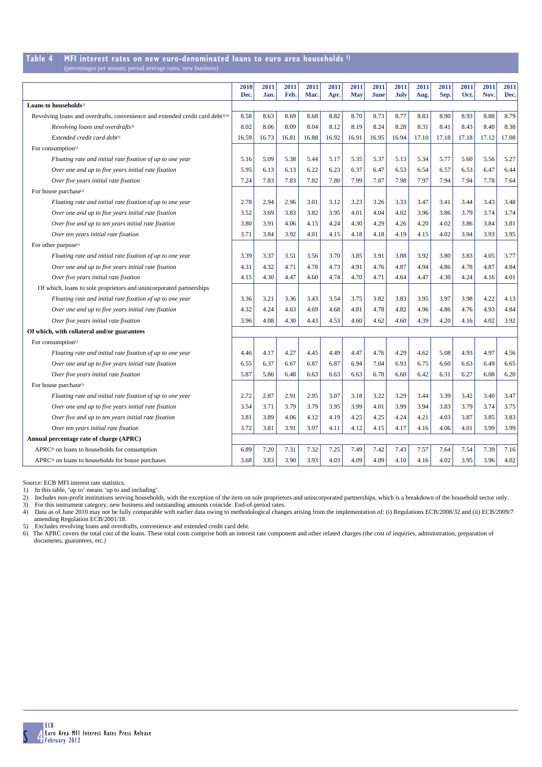### **Table 4 MFI interest rates on new euro-denominated loans to euro area households 1)**

| (percentages per annum; period average rates; new business) |  |  |
|-------------------------------------------------------------|--|--|
|-------------------------------------------------------------|--|--|

|                                                                                            | 2010<br>Dec. | 2011<br>Jan. | 2011<br>Feb. | 2011<br>Mar. | 2011<br>Apr. | 2011<br><b>May</b> | 2011<br><b>June</b> | 2011<br>July | 2011<br>Aug. | 2011<br>Sep. | 2011<br>Oct. | 2011<br>Nov. | 2011<br>Dec. |
|--------------------------------------------------------------------------------------------|--------------|--------------|--------------|--------------|--------------|--------------------|---------------------|--------------|--------------|--------------|--------------|--------------|--------------|
| Loans to households <sup>2)</sup>                                                          |              |              |              |              |              |                    |                     |              |              |              |              |              |              |
| Revolving loans and overdrafts, convenience and extended credit card debt <sup>3),4)</sup> | 8.58         | 8.63         | 8.69         | 8.68         | 8.82         | 8.70               | 8.73                | 8.77         | 8.83         | 8.90         | 8.93         | 8.88         | 8.79         |
| Revolving loans and overdrafts <sup>3)</sup>                                               | 8.02         | 8.06         | 8.09         | 8.04         | 8.12         | 8.19               | 8.24                | 8.28         | 8.31         | 8.41         | 8.43         | 8.40         | 8.38         |
| Extended credit card debt <sup>3)</sup>                                                    | 16.59        | 16.73        | 16.81        | 16.88        | 16.92        | 16.91              | 16.95               | 16.94        | 17.10        | 17.18        | 17.18        | 17.12        | 17.08        |
| For consumption <sup>5)</sup>                                                              |              |              |              |              |              |                    |                     |              |              |              |              |              |              |
| Floating rate and initial rate fixation of up to one year                                  | 5.16         | 5.09         | 5.38         | 5.44         | 5.17         | 5.35               | 5.37                | 5.13         | 5.34         | 5.77         | 5.60         | 5.56         | 5.27         |
| Over one and up to five years initial rate fixation                                        | 5.95         | 6.13         | 6.13         | 6.22         | 6.23         | 6.37               | 6.47                | 6.53         | 6.54         | 6.57         | 6.53         | 6.47         | 6.44         |
| Over five years initial rate fixation                                                      | 7.24         | 7.83         | 7.83         | 7.82         | 7.80         | 7.99               | 7.87                | 7.98         | 7.97         | 7.94         | 7.94         | 7.78         | 7.64         |
| For house purchase <sup>5)</sup>                                                           |              |              |              |              |              |                    |                     |              |              |              |              |              |              |
| Floating rate and initial rate fixation of up to one year                                  | 2.78         | 2.94         | 2.96         | 3.01         | 3.12         | 3.23               | 3.26                | 3.33         | 3.47         | 3.41         | 3.44         | 3.43         | 3.48         |
| Over one and up to five years initial rate fixation                                        | 3.52         | 3.69         | 3.83         | 3.82         | 3.95         | 4.01               | 4.04                | 4.02         | 3.96         | 3.86         | 3.79         | 3.74         | 3.74         |
| Over five and up to ten years initial rate fixation                                        | 3.80         | 3.91         | 4.06         | 4.15         | 4.24         | 4.30               | 4.29                | 4.26         | 4.20         | 4.02         | 3.86         | 3.84         | 3.81         |
| Over ten years initial rate fixation                                                       | 3.71         | 3.84         | 3.92         | 4.01         | 4.15         | 4.18               | 4.18                | 4.19         | 4.15         | 4.02         | 3.94         | 3.93         | 3.95         |
| For other purpose <sup>5)</sup>                                                            |              |              |              |              |              |                    |                     |              |              |              |              |              |              |
| Floating rate and initial rate fixation of up to one year                                  | 3.39         | 3.37         | 3.51         | 3.56         | 3.70         | 3.85               | 3.91                | 3.88         | 3.92         | 3.80         | 3.83         | 4.05         | 3.77         |
| Over one and up to five years initial rate fixation                                        | 4.31         | 4.32         | 4.71         | 4.78         | 4.73         | 4.91               | 4.76                | 4.87         | 4.94         | 4.86         | 4.78         | 4.87         | 4.84         |
| Over five years initial rate fixation                                                      | 4.15         | 4.30         | 4.47         | 4.60         | 4.74         | 4.70               | 4.71                | 4.64         | 4.47         | 4.30         | 4.24         | 4.16         | 4.01         |
| Of which, loans to sole proprietors and unincorporated partnerships                        |              |              |              |              |              |                    |                     |              |              |              |              |              |              |
| Floating rate and initial rate fixation of up to one year                                  | 3.36         | 3.21         | 3.36         | 3.43         | 3.54         | 3.75               | 3.82                | 3.83         | 3.95         | 3.97         | 3.98         | 4.22         | 4.13         |
| Over one and up to five years initial rate fixation                                        | 4.32         | 4.24         | 4.63         | 4.69         | 4.68         | 4.81               | 4.78                | 4.82         | 4.96         | 4.86         | 4.76         | 4.93         | 4.84         |
| Over five years initial rate fixation                                                      | 3.96         | 4.08         | 4.30         | 4.43         | 4.53         | 4.60               | 4.62                | 4.60         | 4.39         | 4.20         | 4.16         | 4.02         | 3.92         |
| Of which, with collateral and/or guarantees                                                |              |              |              |              |              |                    |                     |              |              |              |              |              |              |
| For consumption <sup>5)</sup>                                                              |              |              |              |              |              |                    |                     |              |              |              |              |              |              |
| Floating rate and initial rate fixation of up to one year                                  | 4.46         | 4.17         | 4.27         | 4.45         | 4.49         | 4.47               | 4.76                | 4.29         | 4.62         | 5.08         | 4.93         | 4.97         | 4.56         |
| Over one and up to five years initial rate fixation                                        | 6.55         | 6.37         | 6.67         | 6.87         | 6.87         | 6.94               | 7.04                | 6.93         | 6.75         | 6.60         | 6.63         | 6.49         | 6.65         |
| Over five years initial rate fixation                                                      | 5.87         | 5.86         | 6.48         | 6.63         | 6.63         | 6.63               | 6.78                | 6.60         | 6.42         | 6.31         | 6.27         | 6.08         | 6.20         |
| For house purchase <sup>5)</sup>                                                           |              |              |              |              |              |                    |                     |              |              |              |              |              |              |
| Floating rate and initial rate fixation of up to one year                                  | 2.72         | 2.87         | 2.91         | 2.95         | 3.07         | 3.18               | 3.22                | 3.29         | 3.44         | 3.39         | 3.42         | 3.40         | 3.47         |
| Over one and up to five years initial rate fixation                                        | 3.54         | 3.71         | 3.79         | 3.79         | 3.95         | 3.99               | 4.01                | 3.99         | 3.94         | 3.83         | 3.79         | 3.74         | 3.75         |
| Over five and up to ten years initial rate fixation                                        | 3.81         | 3.89         | 4.06         | 4.12         | 4.19         | 4.25               | 4.25                | 4.24         | 4.21         | 4.03         | 3.87         | 3.85         | 3.83         |
| Over ten years initial rate fixation                                                       | 3.72         | 3.81         | 3.91         | 3.97         | 4.11         | 4.12               | 4.15                | 4.17         | 4.16         | 4.06         | 4.01         | 3.99         | 3.99         |
| Annual percentage rate of charge (APRC)                                                    |              |              |              |              |              |                    |                     |              |              |              |              |              |              |
| APRC <sup>6)</sup> on loans to households for consumption                                  | 6.89         | 7.20         | 7.31         | 7.32         | 7.25         | 7.49               | 7.42                | 7.43         | 7.57         | 7.64         | 7.54         | 7.39         | 7.16         |
| APRC <sup>6)</sup> on loans to households for house purchases                              | 3.68         | 3.83         | 3.90         | 3.93         | 4.03         | 4.09               | 4.09                | 4.10         | 4.16         | 4.02         | 3.95         | 3.96         | 4.02         |

Source: ECB MFI interest rate statistics.

1) In this table, 'up to' means 'up to and including'.

2) Includes non-profit institutions serving households, with the exception of the item on sole proprietors and unincorporated partnerships, which is a breakdown of the household sector only.<br>3) For this instrument category amending Regulation ECB/2001/18.

5) Excludes revolving loans and overdrafts, convenience and extended credit card debt.

6) The APRC covers the total cost of the loans. These total costs comprise both an interest rate component and other related charges (the cost of inquiries, administration, preparation of documents, guarantees, etc.)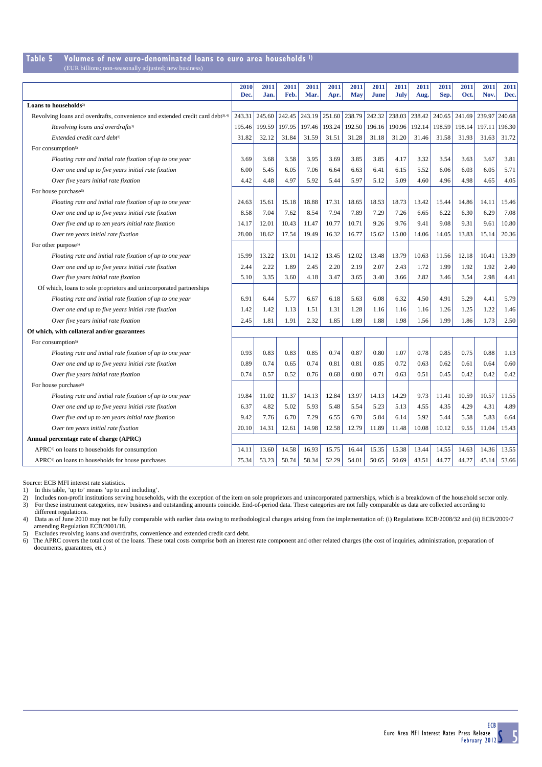### **Table 5 Volumes of new euro-denominated loans to euro area households 1)**

(EUR billions; non-seasonally adjusted; new business)

|                                                                                            | 2010<br>Dec. | 2011<br>Jan. | 2011<br>Feb. | 2011<br>Mar. | 2011<br>Apr. | 2011<br><b>May</b> | 2011<br>June | 2011<br><b>July</b> | 2011<br>Aug. | 2011<br>Sep. | 2011<br>Oct. | 2011<br>Nov. | 2011<br>Dec. |
|--------------------------------------------------------------------------------------------|--------------|--------------|--------------|--------------|--------------|--------------------|--------------|---------------------|--------------|--------------|--------------|--------------|--------------|
| Loans to households <sup>2)</sup>                                                          |              |              |              |              |              |                    |              |                     |              |              |              |              |              |
| Revolving loans and overdrafts, convenience and extended credit card debt <sup>3),4)</sup> | 243.31       | 245.60       | 242.45       | 243.19       | 251.60       | 238.79             | 242.32       | 238.03              | 238.42       | 240.65       | 241.69       | 239.97       | 240.68       |
| Revolving loans and overdrafts <sup>3)</sup>                                               | 195.46       | 199.59       | 197.95       | 197.46       | 193.24       | 192.50             | 196.16       | 190.96              | 192.14       | 198.59       | 198.14       | 197.11       | 196.30       |
| Extended credit card debt <sup>3)</sup>                                                    | 31.82        | 32.12        | 31.84        | 31.59        | 31.51        | 31.28              | 31.18        | 31.20               | 31.46        | 31.58        | 31.93        | 31.63        | 31.72        |
| For consumption <sup>5)</sup>                                                              |              |              |              |              |              |                    |              |                     |              |              |              |              |              |
| Floating rate and initial rate fixation of up to one year                                  | 3.69         | 3.68         | 3.58         | 3.95         | 3.69         | 3.85               | 3.85         | 4.17                | 3.32         | 3.54         | 3.63         | 3.67         | 3.81         |
| Over one and up to five years initial rate fixation                                        | 6.00         | 5.45         | 6.05         | 7.06         | 6.64         | 6.63               | 6.41         | 6.15                | 5.52         | 6.06         | 6.03         | 6.05         | 5.71         |
| Over five years initial rate fixation                                                      | 4.42         | 4.48         | 4.97         | 5.92         | 5.44         | 5.97               | 5.12         | 5.09                | 4.60         | 4.96         | 4.98         | 4.65         | 4.05         |
| For house purchase <sup>5)</sup>                                                           |              |              |              |              |              |                    |              |                     |              |              |              |              |              |
| Floating rate and initial rate fixation of up to one year                                  | 24.63        | 15.61        | 15.18        | 18.88        | 17.31        | 18.65              | 18.53        | 18.73               | 13.42        | 15.44        | 14.86        | 14.11        | 15.46        |
| Over one and up to five years initial rate fixation                                        | 8.58         | 7.04         | 7.62         | 8.54         | 7.94         | 7.89               | 7.29         | 7.26                | 6.65         | 6.22         | 6.30         | 6.29         | 7.08         |
| Over five and up to ten years initial rate fixation                                        | 14.17        | 12.01        | 10.43        | 11.47        | 10.77        | 10.71              | 9.26         | 9.76                | 9.41         | 9.08         | 9.31         | 9.61         | 10.80        |
| Over ten years initial rate fixation                                                       | 28.00        | 18.62        | 17.54        | 19.49        | 16.32        | 16.77              | 15.62        | 15.00               | 14.06        | 14.05        | 13.83        | 15.14        | 20.36        |
| For other purpose <sup>5)</sup>                                                            |              |              |              |              |              |                    |              |                     |              |              |              |              |              |
| Floating rate and initial rate fixation of up to one year                                  | 15.99        | 13.22        | 13.01        | 14.12        | 13.45        | 12.02              | 13.48        | 13.79               | 10.63        | 11.56        | 12.18        | 10.41        | 13.39        |
| Over one and up to five years initial rate fixation                                        | 2.44         | 2.22         | 1.89         | 2.45         | 2.20         | 2.19               | 2.07         | 2.43                | 1.72         | 1.99         | 1.92         | 1.92         | 2.40         |
| Over five years initial rate fixation                                                      | 5.10         | 3.35         | 3.60         | 4.18         | 3.47         | 3.65               | 3.40         | 3.66                | 2.82         | 3.46         | 3.54         | 2.98         | 4.41         |
| Of which, loans to sole proprietors and unincorporated partnerships                        |              |              |              |              |              |                    |              |                     |              |              |              |              |              |
| Floating rate and initial rate fixation of up to one year                                  | 6.91         | 6.44         | 5.77         | 6.67         | 6.18         | 5.63               | 6.08         | 6.32                | 4.50         | 4.91         | 5.29         | 4.41         | 5.79         |
| Over one and up to five years initial rate fixation                                        | 1.42         | 1.42         | 1.13         | 1.51         | 1.31         | 1.28               | 1.16         | 1.16                | 1.16         | 1.26         | 1.25         | 1.22         | 1.46         |
| Over five years initial rate fixation                                                      | 2.45         | 1.81         | 1.91         | 2.32         | 1.85         | 1.89               | 1.88         | 1.98                | 1.56         | 1.99         | 1.86         | 1.73         | 2.50         |
| Of which, with collateral and/or guarantees                                                |              |              |              |              |              |                    |              |                     |              |              |              |              |              |
| For consumption <sup>5)</sup>                                                              |              |              |              |              |              |                    |              |                     |              |              |              |              |              |
| Floating rate and initial rate fixation of up to one year                                  | 0.93         | 0.83         | 0.83         | 0.85         | 0.74         | 0.87               | 0.80         | 1.07                | 0.78         | 0.85         | 0.75         | 0.88         | 1.13         |
| Over one and up to five years initial rate fixation                                        | 0.89         | 0.74         | 0.65         | 0.74         | 0.81         | 0.81               | 0.85         | 0.72                | 0.63         | 0.62         | 0.61         | 0.64         | 0.60         |
| Over five years initial rate fixation                                                      | 0.74         | 0.57         | 0.52         | 0.76         | 0.68         | 0.80               | 0.71         | 0.63                | 0.51         | 0.45         | 0.42         | 0.42         | 0.42         |
| For house purchase <sup>5)</sup>                                                           |              |              |              |              |              |                    |              |                     |              |              |              |              |              |
| Floating rate and initial rate fixation of up to one year                                  | 19.84        | 11.02        | 11.37        | 14.13        | 12.84        | 13.97              | 14.13        | 14.29               | 9.73         | 11.41        | 10.59        | 10.57        | 11.55        |
| Over one and up to five years initial rate fixation                                        | 6.37         | 4.82         | 5.02         | 5.93         | 5.48         | 5.54               | 5.23         | 5.13                | 4.55         | 4.35         | 4.29         | 4.31         | 4.89         |
| Over five and up to ten years initial rate fixation                                        | 9.42         | 7.76         | 6.70         | 7.29         | 6.55         | 6.70               | 5.84         | 6.14                | 5.92         | 5.44         | 5.58         | 5.83         | 6.64         |
| Over ten years initial rate fixation                                                       | 20.10        | 14.31        | 12.61        | 14.98        | 12.58        | 12.79              | 11.89        | 11.48               | 10.08        | 10.12        | 9.55         | 11.04        | 15.43        |
| Annual percentage rate of charge (APRC)                                                    |              |              |              |              |              |                    |              |                     |              |              |              |              |              |
| APRC <sup>6)</sup> on loans to households for consumption                                  | 14.11        | 13.60        | 14.58        | 16.93        | 15.75        | 16.44              | 15.35        | 15.38               | 13.44        | 14.55        | 14.63        | 14.36        | 13.55        |
| APRC <sup>6)</sup> on loans to households for house purchases                              | 75.34        | 53.23        | 50.74        | 58.34        | 52.29        | 54.01              | 50.65        | 50.69               | 43.51        | 44.77        | 44.27        | 45.14        | 53.66        |

Source: ECB MFI interest rate statistics.

1) In this table, 'up to' means 'up to and including'.

2) Includes non-profit institutions serving households, with the exception of the item on sole proprietors and unincorporated partnerships, which is a breakdown of the household sector only.<br>3) For these instrument categor

different regulations.

4) Data as of June 2010 may not be fully comparable with earlier data owing to methodological changes arising from the implementation of: (i) Regulations ECB/2008/32 and (ii) ECB/2009/7 amending Regulation ECB/2001/18.

5) Excludes revolving loans and overdrafts, convenience and extended credit card debt.

6) The APRC covers the total cost of the loans. These total costs comprise both an interest rate component and other related charges (the cost of inquiries, administration, preparation of documents, guarantees, etc.)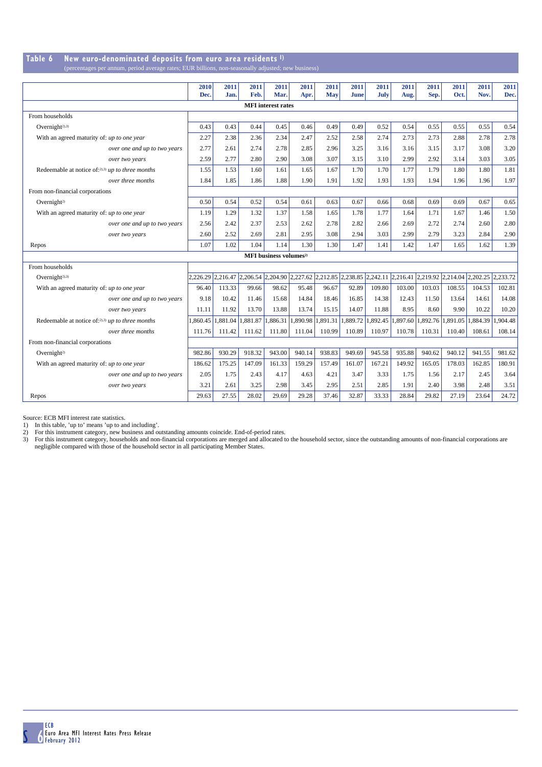#### **Table 6 New euro-denominated deposits from euro area residents 1)** (percentages per annum, period average rates; EUR billions, non-seasonally adjusted; new

|                                                     | 2010<br>Dec. | 2011<br>Jan. | 2011<br>Feb.      | 2011<br>Mar.                              | 2011<br>Apr. | 2011<br>May                                                                                                 | 2011<br>June      | 2011<br>July | 2011<br>Aug. | 2011<br>Sep. | 2011<br>Oct. | 2011<br>Nov. | 2011<br>Dec. |
|-----------------------------------------------------|--------------|--------------|-------------------|-------------------------------------------|--------------|-------------------------------------------------------------------------------------------------------------|-------------------|--------------|--------------|--------------|--------------|--------------|--------------|
|                                                     |              |              |                   | <b>MFI</b> interest rates                 |              |                                                                                                             |                   |              |              |              |              |              |              |
|                                                     |              |              |                   |                                           |              |                                                                                                             |                   |              |              |              |              |              |              |
| From households                                     |              |              |                   |                                           |              |                                                                                                             |                   |              |              |              |              |              |              |
| Overnight <sup>2),3)</sup>                          | 0.43         | 0.43         | 0.44              | 0.45                                      | 0.46         | 0.49                                                                                                        | 0.49              | 0.52         | 0.54         | 0.55         | 0.55         | 0.55         | 0.54         |
| With an agreed maturity of: up to one year          | 2.27         | 2.38         | 2.36              | 2.34                                      | 2.47         | 2.52                                                                                                        | 2.58              | 2.74         | 2.73         | 2.73         | 2.88         | 2.78         | 2.78         |
| over one and up to two years                        | 2.77         | 2.61         | 2.74              | 2.78                                      | 2.85         | 2.96                                                                                                        | 3.25              | 3.16         | 3.16         | 3.15         | 3.17         | 3.08         | 3.20         |
| over two years                                      | 2.59         | 2.77         | 2.80              | 2.90                                      | 3.08         | 3.07                                                                                                        | 3.15              | 3.10         | 2.99         | 2.92         | 3.14         | 3.03         | 3.05         |
| Redeemable at notice of: $2,3$ ) up to three months | 1.55         | 1.53         | 1.60              | 1.61                                      | 1.65         | 1.67                                                                                                        | 1.70              | 1.70         | 1.77         | 1.79         | 1.80         | 1.80         | 1.81         |
| over three months                                   | 1.84         | 1.85         | 1.86              | 1.88                                      | 1.90         | 1.91                                                                                                        | 1.92              | 1.93         | 1.93         | 1.94         | 1.96         | 1.96         | 1.97         |
| From non-financial corporations                     |              |              |                   |                                           |              |                                                                                                             |                   |              |              |              |              |              |              |
| Overnight <sup>2)</sup>                             | 0.50         | 0.54         | 0.52              | 0.54                                      | 0.61         | 0.63                                                                                                        | 0.67              | 0.66         | 0.68         | 0.69         | 0.69         | 0.67         | 0.65         |
| With an agreed maturity of: up to one year          | 1.19         | 1.29         | 1.32              | 1.37                                      | 1.58         | 1.65                                                                                                        | 1.78              | 1.77         | 1.64         | 1.71         | 1.67         | 1.46         | 1.50         |
| over one and up to two years                        | 2.56         | 2.42         | 2.37              | 2.53                                      | 2.62         | 2.78                                                                                                        | 2.82              | 2.66         | 2.69         | 2.72         | 2.74         | 2.60         | 2.80         |
| over two years                                      | 2.60         | 2.52         | 2.69              | 2.81                                      | 2.95         | 3.08                                                                                                        | 2.94              | 3.03         | 2.99         | 2.79         | 3.23         | 2.84         | 2.90         |
| Repos                                               | 1.07         | 1.02         | 1.04              | 1.14                                      | 1.30         | 1.30                                                                                                        | 1.47              | 1.41         | 1.42         | 1.47         | 1.65         | 1.62         | 1.39         |
|                                                     |              |              |                   | <b>MFI</b> business volumes <sup>2)</sup> |              |                                                                                                             |                   |              |              |              |              |              |              |
| From households                                     |              |              |                   |                                           |              |                                                                                                             |                   |              |              |              |              |              |              |
| Overnight <sup>2),3)</sup>                          | 2.226.29     |              |                   |                                           |              | 2,216.47 2,206.54 2,204.90 2,227.62 2,212.85 2,238.85 2,242.11 2,216.41 2,219.92 2,214.04 2,202.25 2,233.72 |                   |              |              |              |              |              |              |
| With an agreed maturity of: up to one year          | 96.40        | 113.33       | 99.66             | 98.62                                     | 95.48        | 96.67                                                                                                       | 92.89             | 109.80       | 103.00       | 103.03       | 108.55       | 104.53       | 102.81       |
| over one and up to two years                        | 9.18         | 10.42        | 11.46             | 15.68                                     | 14.84        | 18.46                                                                                                       | 16.85             | 14.38        | 12.43        | 11.50        | 13.64        | 14.61        | 14.08        |
| over two years                                      | 11.11        | 11.92        | 13.70             | 13.88                                     | 13.74        | 15.15                                                                                                       | 14.07             | 11.88        | 8.95         | 8.60         | 9.90         | 10.22        | 10.20        |
| Redeemable at notice of:2),3) up to three months    | 1,860.45     |              | 1,881.04 1,881.87 | 1,886.31                                  | 1,890.98     |                                                                                                             | 1,891.31 1,889.72 | 1,892.45     | 1,897.60     | 1,892.76     | 1,891.05     | 1,884.39     | .904.48      |
| over three months                                   | 111.76       | 111.42       | 111.62            | 111.80                                    | 111.04       | 110.99                                                                                                      | 110.89            | 110.97       | 110.78       | 110.31       | 110.40       | 108.61       | 108.14       |
| From non-financial corporations                     |              |              |                   |                                           |              |                                                                                                             |                   |              |              |              |              |              |              |
| Overnight <sup>2)</sup>                             | 982.86       | 930.29       | 918.32            | 943.00                                    | 940.14       | 938.83                                                                                                      | 949.69            | 945.58       | 935.88       | 940.62       | 940.12       | 941.55       | 981.62       |
| With an agreed maturity of: up to one year          | 186.62       | 175.25       | 147.09            | 161.33                                    | 159.29       | 157.49                                                                                                      | 161.07            | 167.21       | 149.92       | 165.05       | 178.03       | 162.85       | 180.91       |
| over one and up to two years                        | 2.05         | 1.75         | 2.43              | 4.17                                      | 4.63         | 4.21                                                                                                        | 3.47              | 3.33         | 1.75         | 1.56         | 2.17         | 2.45         | 3.64         |
| over two years                                      | 3.21         | 2.61         | 3.25              | 2.98                                      | 3.45         | 2.95                                                                                                        | 2.51              | 2.85         | 1.91         | 2.40         | 3.98         | 2.48         | 3.51         |
| Repos                                               | 29.63        | 27.55        | 28.02             | 29.69                                     | 29.28        | 37.46                                                                                                       | 32.87             | 33.33        | 28.84        | 29.82        | 27.19        | 23.64        | 24.72        |

Source: ECB MFI interest rate statistics.<br>1) In this table, 'up to' means 'up to and including'.<br>2) For this instrument category, new business and outstanding amounts coincide. End-of-period rates.<br>3) For this instrument c